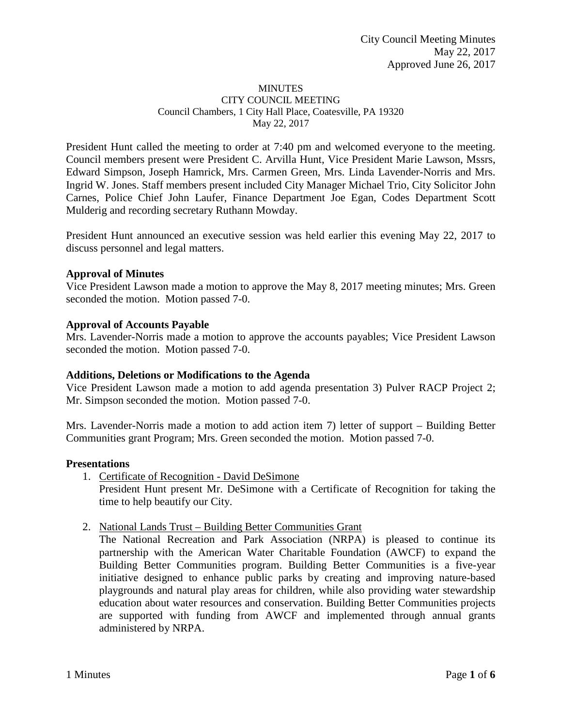#### **MINUTES** CITY COUNCIL MEETING Council Chambers, 1 City Hall Place, Coatesville, PA 19320 May 22, 2017

President Hunt called the meeting to order at 7:40 pm and welcomed everyone to the meeting. Council members present were President C. Arvilla Hunt, Vice President Marie Lawson, Mssrs, Edward Simpson, Joseph Hamrick, Mrs. Carmen Green, Mrs. Linda Lavender-Norris and Mrs. Ingrid W. Jones. Staff members present included City Manager Michael Trio, City Solicitor John Carnes, Police Chief John Laufer, Finance Department Joe Egan, Codes Department Scott Mulderig and recording secretary Ruthann Mowday.

President Hunt announced an executive session was held earlier this evening May 22, 2017 to discuss personnel and legal matters.

## **Approval of Minutes**

Vice President Lawson made a motion to approve the May 8, 2017 meeting minutes; Mrs. Green seconded the motion. Motion passed 7-0.

### **Approval of Accounts Payable**

Mrs. Lavender-Norris made a motion to approve the accounts payables; Vice President Lawson seconded the motion. Motion passed 7-0.

## **Additions, Deletions or Modifications to the Agenda**

Vice President Lawson made a motion to add agenda presentation 3) Pulver RACP Project 2; Mr. Simpson seconded the motion. Motion passed 7-0.

Mrs. Lavender-Norris made a motion to add action item 7) letter of support – Building Better Communities grant Program; Mrs. Green seconded the motion. Motion passed 7-0.

#### **Presentations**

- 1. Certificate of Recognition David DeSimone President Hunt present Mr. DeSimone with a Certificate of Recognition for taking the time to help beautify our City.
- 2. National Lands Trust Building Better Communities Grant

The National Recreation and Park Association (NRPA) is pleased to continue its partnership with the American Water Charitable Foundation (AWCF) to expand the Building Better Communities program. Building Better Communities is a five-year initiative designed to enhance public parks by creating and improving nature-based playgrounds and natural play areas for children, while also providing water stewardship education about water resources and conservation. Building Better Communities projects are supported with funding from AWCF and implemented through annual grants administered by NRPA.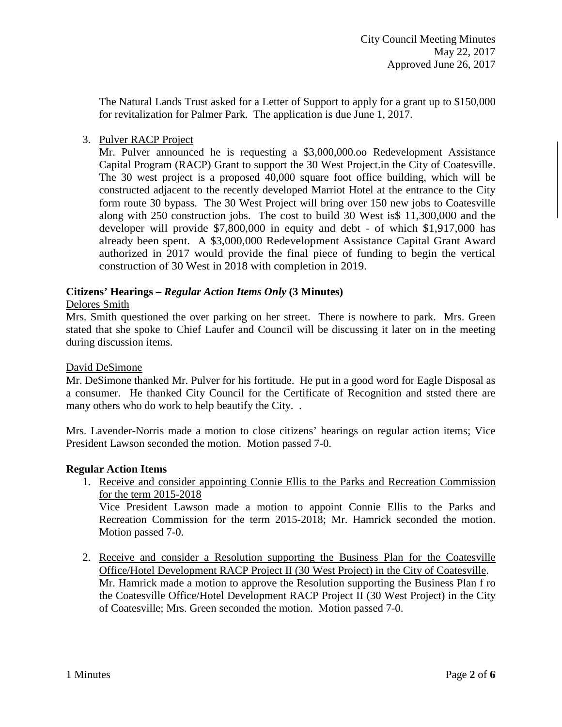The Natural Lands Trust asked for a Letter of Support to apply for a grant up to \$150,000 for revitalization for Palmer Park. The application is due June 1, 2017.

## 3. Pulver RACP Project

Mr. Pulver announced he is requesting a \$3,000,000.oo Redevelopment Assistance Capital Program (RACP) Grant to support the 30 West Project.in the City of Coatesville. The 30 west project is a proposed 40,000 square foot office building, which will be constructed adjacent to the recently developed Marriot Hotel at the entrance to the City form route 30 bypass. The 30 West Project will bring over 150 new jobs to Coatesville along with 250 construction jobs. The cost to build 30 West is\$ 11,300,000 and the developer will provide \$7,800,000 in equity and debt - of which \$1,917,000 has already been spent. A \$3,000,000 Redevelopment Assistance Capital Grant Award authorized in 2017 would provide the final piece of funding to begin the vertical construction of 30 West in 2018 with completion in 2019.

## **Citizens' Hearings –** *Regular Action Items Only* **(3 Minutes)**

## Delores Smith

Mrs. Smith questioned the over parking on her street. There is nowhere to park. Mrs. Green stated that she spoke to Chief Laufer and Council will be discussing it later on in the meeting during discussion items.

## David DeSimone

Mr. DeSimone thanked Mr. Pulver for his fortitude. He put in a good word for Eagle Disposal as a consumer. He thanked City Council for the Certificate of Recognition and ststed there are many others who do work to help beautify the City. .

Mrs. Lavender-Norris made a motion to close citizens' hearings on regular action items; Vice President Lawson seconded the motion. Motion passed 7-0.

## **Regular Action Items**

1. Receive and consider appointing Connie Ellis to the Parks and Recreation Commission for the term 2015-2018 Vice President Lawson made a motion to appoint Connie Ellis to the Parks and

Recreation Commission for the term 2015-2018; Mr. Hamrick seconded the motion. Motion passed 7-0.

2. Receive and consider a Resolution supporting the Business Plan for the Coatesville Office/Hotel Development RACP Project II (30 West Project) in the City of Coatesville. Mr. Hamrick made a motion to approve the Resolution supporting the Business Plan f ro the Coatesville Office/Hotel Development RACP Project II (30 West Project) in the City of Coatesville; Mrs. Green seconded the motion. Motion passed 7-0.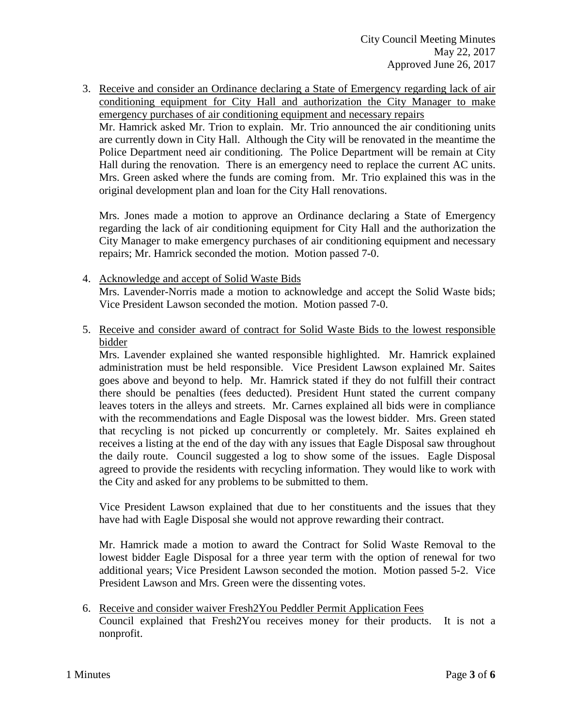3. Receive and consider an Ordinance declaring a State of Emergency regarding lack of air conditioning equipment for City Hall and authorization the City Manager to make emergency purchases of air conditioning equipment and necessary repairs Mr. Hamrick asked Mr. Trion to explain. Mr. Trio announced the air conditioning units are currently down in City Hall. Although the City will be renovated in the meantime the Police Department need air conditioning. The Police Department will be remain at City Hall during the renovation. There is an emergency need to replace the current AC units. Mrs. Green asked where the funds are coming from. Mr. Trio explained this was in the original development plan and loan for the City Hall renovations.

Mrs. Jones made a motion to approve an Ordinance declaring a State of Emergency regarding the lack of air conditioning equipment for City Hall and the authorization the City Manager to make emergency purchases of air conditioning equipment and necessary repairs; Mr. Hamrick seconded the motion. Motion passed 7-0.

- 4. Acknowledge and accept of Solid Waste Bids Mrs. Lavender-Norris made a motion to acknowledge and accept the Solid Waste bids; Vice President Lawson seconded the motion. Motion passed 7-0.
- 5. Receive and consider award of contract for Solid Waste Bids to the lowest responsible bidder

Mrs. Lavender explained she wanted responsible highlighted. Mr. Hamrick explained administration must be held responsible. Vice President Lawson explained Mr. Saites goes above and beyond to help. Mr. Hamrick stated if they do not fulfill their contract there should be penalties (fees deducted). President Hunt stated the current company leaves toters in the alleys and streets. Mr. Carnes explained all bids were in compliance with the recommendations and Eagle Disposal was the lowest bidder. Mrs. Green stated that recycling is not picked up concurrently or completely. Mr. Saites explained eh receives a listing at the end of the day with any issues that Eagle Disposal saw throughout the daily route. Council suggested a log to show some of the issues. Eagle Disposal agreed to provide the residents with recycling information. They would like to work with the City and asked for any problems to be submitted to them.

Vice President Lawson explained that due to her constituents and the issues that they have had with Eagle Disposal she would not approve rewarding their contract.

Mr. Hamrick made a motion to award the Contract for Solid Waste Removal to the lowest bidder Eagle Disposal for a three year term with the option of renewal for two additional years; Vice President Lawson seconded the motion. Motion passed 5-2. Vice President Lawson and Mrs. Green were the dissenting votes.

6. Receive and consider waiver Fresh2You Peddler Permit Application Fees Council explained that Fresh2You receives money for their products. It is not a nonprofit.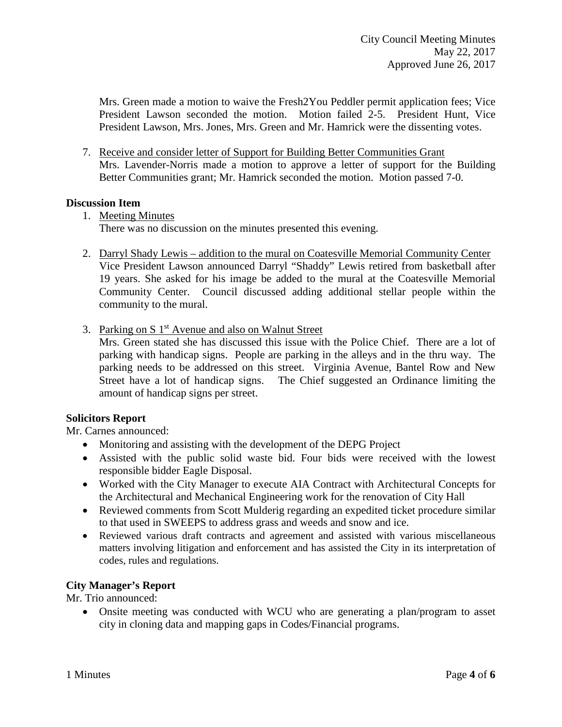Mrs. Green made a motion to waive the Fresh2You Peddler permit application fees; Vice President Lawson seconded the motion. Motion failed 2-5. President Hunt, Vice President Lawson, Mrs. Jones, Mrs. Green and Mr. Hamrick were the dissenting votes.

7. Receive and consider letter of Support for Building Better Communities Grant Mrs. Lavender-Norris made a motion to approve a letter of support for the Building Better Communities grant; Mr. Hamrick seconded the motion. Motion passed 7-0.

## **Discussion Item**

1. Meeting Minutes

There was no discussion on the minutes presented this evening.

- 2. Darryl Shady Lewis addition to the mural on Coatesville Memorial Community Center Vice President Lawson announced Darryl "Shaddy" Lewis retired from basketball after 19 years. She asked for his image be added to the mural at the Coatesville Memorial Community Center. Council discussed adding additional stellar people within the community to the mural.
- 3. Parking on S 1<sup>st</sup> Avenue and also on Walnut Street Mrs. Green stated she has discussed this issue with the Police Chief. There are a lot of parking with handicap signs. People are parking in the alleys and in the thru way. The parking needs to be addressed on this street. Virginia Avenue, Bantel Row and New Street have a lot of handicap signs. The Chief suggested an Ordinance limiting the

#### **Solicitors Report**

Mr. Carnes announced:

amount of handicap signs per street.

- Monitoring and assisting with the development of the DEPG Project
- Assisted with the public solid waste bid. Four bids were received with the lowest responsible bidder Eagle Disposal.
- Worked with the City Manager to execute AIA Contract with Architectural Concepts for the Architectural and Mechanical Engineering work for the renovation of City Hall
- Reviewed comments from Scott Mulderig regarding an expedited ticket procedure similar to that used in SWEEPS to address grass and weeds and snow and ice.
- Reviewed various draft contracts and agreement and assisted with various miscellaneous matters involving litigation and enforcement and has assisted the City in its interpretation of codes, rules and regulations.

## **City Manager's Report**

Mr. Trio announced:

• Onsite meeting was conducted with WCU who are generating a plan/program to asset city in cloning data and mapping gaps in Codes/Financial programs.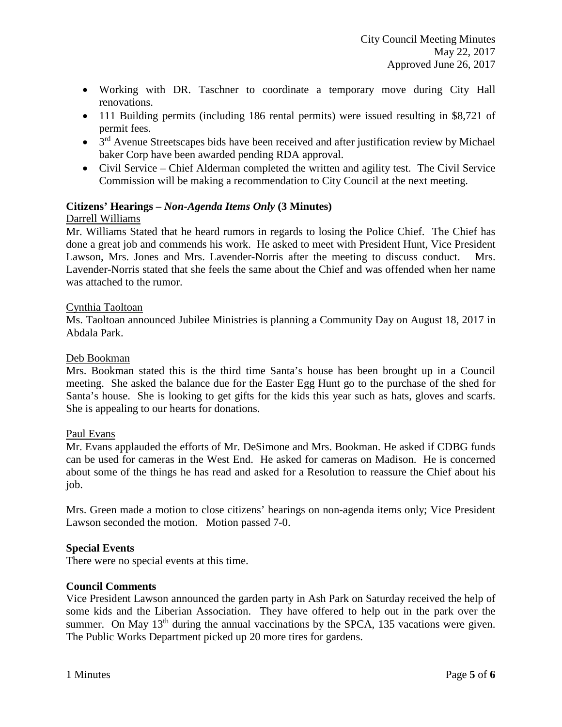- Working with DR. Taschner to coordinate a temporary move during City Hall renovations.
- 111 Building permits (including 186 rental permits) were issued resulting in \$8,721 of permit fees.
- $3<sup>rd</sup>$  Avenue Streetscapes bids have been received and after justification review by Michael baker Corp have been awarded pending RDA approval.
- Civil Service Chief Alderman completed the written and agility test. The Civil Service Commission will be making a recommendation to City Council at the next meeting.

# **Citizens' Hearings –** *Non-Agenda Items Only* **(3 Minutes)**

## Darrell Williams

Mr. Williams Stated that he heard rumors in regards to losing the Police Chief. The Chief has done a great job and commends his work. He asked to meet with President Hunt, Vice President Lawson, Mrs. Jones and Mrs. Lavender-Norris after the meeting to discuss conduct. Mrs. Lavender-Norris stated that she feels the same about the Chief and was offended when her name was attached to the rumor.

## Cynthia Taoltoan

Ms. Taoltoan announced Jubilee Ministries is planning a Community Day on August 18, 2017 in Abdala Park.

## Deb Bookman

Mrs. Bookman stated this is the third time Santa's house has been brought up in a Council meeting. She asked the balance due for the Easter Egg Hunt go to the purchase of the shed for Santa's house. She is looking to get gifts for the kids this year such as hats, gloves and scarfs. She is appealing to our hearts for donations.

## Paul Evans

Mr. Evans applauded the efforts of Mr. DeSimone and Mrs. Bookman. He asked if CDBG funds can be used for cameras in the West End. He asked for cameras on Madison. He is concerned about some of the things he has read and asked for a Resolution to reassure the Chief about his job.

Mrs. Green made a motion to close citizens' hearings on non-agenda items only; Vice President Lawson seconded the motion. Motion passed 7-0.

# **Special Events**

There were no special events at this time.

## **Council Comments**

Vice President Lawson announced the garden party in Ash Park on Saturday received the help of some kids and the Liberian Association. They have offered to help out in the park over the summer. On May  $13<sup>th</sup>$  during the annual vaccinations by the SPCA, 135 vacations were given. The Public Works Department picked up 20 more tires for gardens.